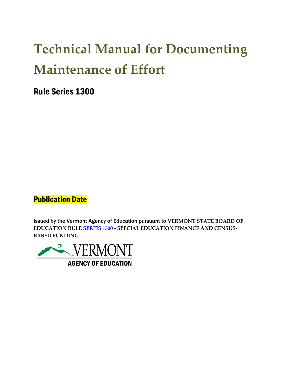# **Technical Manual for Documenting Maintenance of Effort**

Rule Series 1300

**Publication Date** 

Issued by the Vermont Agency of Education pursuant to **VERMONT STATE BOARD OF EDUCATION RULE [SERIES 1300](https://education.vermont.gov/sites/aoe/files/documents/edu-state-board-rules-series-1300_0.pdf) - SPECIAL EDUCATION FINANCE AND CENSUS-BASED FUNDING**

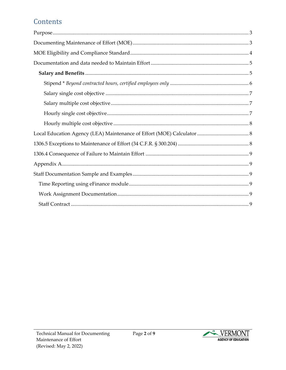# Contents

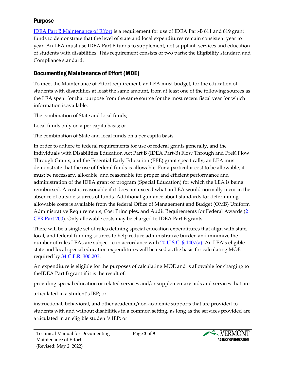#### <span id="page-2-0"></span>Purpose

IDEA Part B [Maintenance of Effort](https://sites.ed.gov/idea/regs/b/c/300.203) is a requirement for use of IDEA Part-B 611 and 619 grant funds to demonstrate that the level of state and local expenditures remain consistent year to year. An LEA must use IDEA Part B funds to supplement, not supplant, services and education of students with disabilities. This requirement consists of two parts; the Eligibility standard and Compliance standard.

### <span id="page-2-1"></span>Documenting Maintenance of Effort (MOE)

To meet the Maintenance of Effort requirement, an LEA must budget, for the education of students with disabilities at least the same amount, from at least one of the following sources as the LEA spent for that purpose from the same source for the most recent fiscal year for which information is available:

The combination of State and local funds;

Local funds only on a per capita basis; or

The combination of State and local funds on a per capita basis.

In order to adhere to federal requirements for use of federal grants generally, and the Individuals with Disabilities Education Act Part B (IDEA Part-B) Flow Through and PreK Flow Through Grants, and the Essential Early Education (EEE) grant specifically, an LEA must demonstrate that the use of federal funds is allowable. For a particular cost to be allowable, it must be necessary, allocable, and reasonable for proper and efficient performance and administration of the IDEA grant or program (Special Education) for which the LEA is being reimbursed. A cost is reasonable if it does not exceed what an LEA would normally incur in the absence of outside sources of funds. Additional guidance about standards for determining allowable costs is available from the federal Office of Management and Budget (OMB) Uniform Administrative Requirements, Cost Principles, and Audit Requirements for Federal Awards [\(2](https://www.gpo.gov/fdsys/granule/CFR-2014-title2-vol1/CFR-2014-title2-vol1-part200/content-detail.html) CFR [Part 200\)](https://www.gpo.gov/fdsys/granule/CFR-2014-title2-vol1/CFR-2014-title2-vol1-part200/content-detail.html). Only allowable costs may be charged to IDEA Part B grants.

There will be a single set of rules defining special education expenditures that align with state, local, and federal funding sources to help reduce administrative burden and minimize the number of rules LEAs are subject to in accordance with [20 U.S.C. § 1407\(a\)](http://uscode.house.gov/view.xhtml?req=granuleid:USC-prelim-title20-section1407&num=0&edition=prelim). An LEA's eligible state and local special education expenditures will be used as the basis for calculating MOE required by 34 C.F.R. [300.203.](https://www.ecfr.gov/current/title-34/subtitle-B/chapter-III/part-300/subpart-C/section-300.203)

An expenditure is eligible for the purposes of calculating MOE and is allowable for charging to theIDEA Part B grant if it is the result of:

providing special education or related services and/or supplementary aids and services that are

articulated in a student's IEP; or

instructional, behavioral, and other academic/non-academic supports that are provided to students with and without disabilities in a common setting, as long as the services provided are articulated in an eligible student's IEP; or

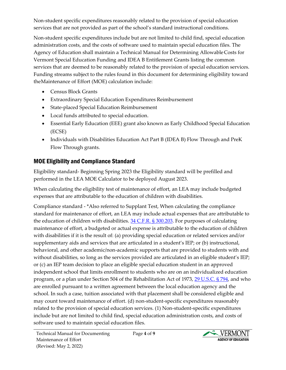Non-student specific expenditures reasonably related to the provision of special education services that are not provided as part of the school's standard instructional conditions.

Non-student specific expenditures include but are not limited to child find, special education administration costs, and the costs of software used to maintain special education files. The Agency of Education shall maintain a Technical Manual for Determining Allowable Costs for Vermont Special Education Funding and IDEA B Entitlement Grants listing the common services that are deemed to be reasonably related to the provision of special education services. Funding streams subject to the rules found in this document for determining eligibility toward theMaintenance of Effort (MOE) calculation include:

- Census Block Grants
- Extraordinary Special Education Expenditures Reimbursement
- State-placed Special Education Reimbursement
- Local funds attributed to special education.
- Essential Early Education (EEE) grant also known as Early Childhood Special Education (ECSE)
- Individuals with Disabilities Education Act Part B (IDEA B) Flow Through and PreK Flow Through grants.

#### <span id="page-3-0"></span>MOE Eligibility and Compliance Standard

Eligibility standard- Beginning Spring 2023 the Eligibility standard will be prefilled and performed in the LEA MOE Calculator to be deployed August 2023.

When calculating the eligibility test of maintenance of effort, an LEA may include budgeted expenses that are attributable to the education of children with disabilities.

Compliance standard - \*Also referred to Supplant Test, When calculating the compliance standard for maintenance of effort, an LEA may include actual expenses that are attributable to the education of children with disabilities. [34 C.F.R. § 300.203.](https://www.ecfr.gov/current/title-34/subtitle-B/chapter-III/part-300/subpart-C/section-300.203) For purposes of calculating maintenance of effort, a budgeted or actual expense is attributable to the education of children with disabilities if it is the result of: (a) providing special education or related services and/or supplementary aids and services that are articulated in a student's IEP; or (b) instructional, behavioral, and other academic/non-academic supports that are provided to students with and without disabilities, so long as the services provided are articulated in an eligible student's IEP; or (c) an IEP team decision to place an eligible special education student in an approved independent school that limits enrollment to students who are on an individualized education program, or a plan under Section 504 of the Rehabilitation Act of 1973, [29 U.S.C. § 794,](https://uscode.house.gov/view.xhtml?req=granuleid:USC-prelim-title29-section794&num=0&edition=prelim) and who are enrolled pursuant to a written agreement between the local education agency and the school. In such a case, tuition associated with that placement shall be considered eligible and may count toward maintenance of effort. (d) non-student-specific expenditures reasonably related to the provision of special education services. (1) Non-student-specific expenditures include but are not limited to child find, special education administration costs, and costs of software used to maintain special education files.

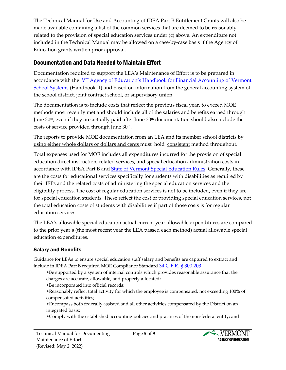The Technical Manual for Use and Accounting of IDEA Part B Entitlement Grants will also be made available containing a list of the common services that are deemed to be reasonably related to the provision of special education services under (c) above. An expenditure not included in the Technical Manual may be allowed on a case-by-case basis if the Agency of Education grants written prior approval.

#### <span id="page-4-0"></span>Documentation and Data Needed to Maintain Effort

Documentation required to support the LEA's Maintenance of Effort is to be prepared in accordance with the [VT Agency of Education's Handbook for F](https://education.vermont.gov/sites/aoe/files/documents/edu-handbook-2-AOE-12012019-v1.0.pdf)inancial Accounting of Vermont [School Systems](https://education.vermont.gov/sites/aoe/files/documents/edu-handbook-2-AOE-12012019-v1.0.pdf) (Handbook II) and based on information from the general accounting system of the school district, joint contract school, or supervisory union.

The documentation is to include costs that reflect the previous fiscal year, to exceed MOE methods most recently met and should include all of the salaries and benefits earned through June 30th, even if they are actually paid after June 30th documentation should also include the J costs of service provided through June 30<sup>th</sup>.

The reports to provide MOE documentation from an LEA and its member school districts by using either whole dollars or dollars and cents must hold consistent method throughout.

Total expenses used for MOE includes all expenditures incurred for the provision of special education direct instruction, related services, and special education administration costs in accordance with IDEA Part B and State of Vermont [Special Education Rules.](https://education.vermont.gov/sites/aoe/files/documents/VT%20State%20Board%20of%20Education_Rule%20Series%202360_revised%205-13-2021.pdf) Generally, these are the costs for educational services specifically for students with disabilities as required by their IEPs and the related costs of administering the special education services and the eligibility process**.** The cost of regular education services is not to be included, even if they are for special education students. These reflect the cost of providing special education services, not the total education costs of students with disabilities if part of those costs is for regular education services.

The LEA's allowable special education actual current year allowable expenditures are compared to the prior year's (the most recent year the LEA passed each method) actual allowable special education expenditures.

#### <span id="page-4-1"></span>Salary and Benefits

Guidance for LEAs to ensure special education staff salary and benefits are captured to extract and include in IDEA Part B required MOE Compliance Standard [34 C.F.R. § 300.203.](https://www.ecfr.gov/current/title-34/subtitle-B/chapter-III/part-300/subpart-C/section-300.203)

•Be supported by a system of internal controls which provides reasonable assurance that the charges are accurate, allowable, and properly allocated;

•Be incorporated into official records;

•Reasonably reflect total activity for which the employee is compensated, not exceeding 100% of compensated activities;

•Encompass both federally assisted and all other activities compensated by the District on an integrated basis;

•Comply with the established accounting policies and practices of the non-federal entity; and

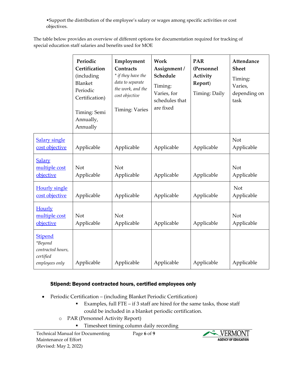•Support the distribution of the employee's salary or wages among specific activities or cost objectives.

The table below provides an overview of different options for documentation required for tracking of special education staff salaries and benefits used for MOE

|                                                                               | Periodic<br>Certification<br>(including<br>Blanket<br>Periodic<br>Certification)<br>Timing: Semi<br>Annually,<br>Annually | Employment<br>Contracts<br>* if they have the<br>data to separate<br>the work, and the<br>cost objective<br>Timing: Varies | Work<br>Assignment /<br>Schedule<br>Timing:<br>Varies, for<br>schedules that<br>are fixed | <b>PAR</b><br>(Personnel<br>Activity<br>Report)<br>Timing: Daily | <b>Attendance</b><br><b>Sheet</b><br>Timing:<br>Varies,<br>depending on<br>task |
|-------------------------------------------------------------------------------|---------------------------------------------------------------------------------------------------------------------------|----------------------------------------------------------------------------------------------------------------------------|-------------------------------------------------------------------------------------------|------------------------------------------------------------------|---------------------------------------------------------------------------------|
| <b>Salary single</b><br>cost objective                                        | Applicable                                                                                                                | Applicable                                                                                                                 | Applicable                                                                                | Applicable                                                       | Not<br>Applicable                                                               |
| <b>Salary</b><br>multiple cost<br><b>objective</b>                            | <b>Not</b><br>Applicable                                                                                                  | Not<br>Applicable                                                                                                          | Applicable                                                                                | Applicable                                                       | Not<br>Applicable                                                               |
| <b>Hourly single</b><br>cost objective                                        | Applicable                                                                                                                | Applicable                                                                                                                 | Applicable                                                                                | Applicable                                                       | <b>Not</b><br>Applicable                                                        |
| Hourly<br>multiple cost<br><b>objective</b>                                   | Not<br>Applicable                                                                                                         | Not<br>Applicable                                                                                                          | Applicable                                                                                | Applicable                                                       | <b>Not</b><br>Applicable                                                        |
| <b>Stipend</b><br>*Beyond<br>contracted hours,<br>certified<br>employees only | Applicable                                                                                                                | Applicable                                                                                                                 | Applicable                                                                                | Applicable                                                       | Applicable                                                                      |

#### <span id="page-5-0"></span>Stipend: Beyond contracted hours, certified employees only

- Periodic Certification (including Blanket Periodic Certification)
	- Examples, full FTE if 3 staff are hired for the same tasks, those staff could be included in a blanket periodic certification.
	- o PAR (Personnel Activity Report)
		- Timesheet timing column daily recording

Page **6** of **9**

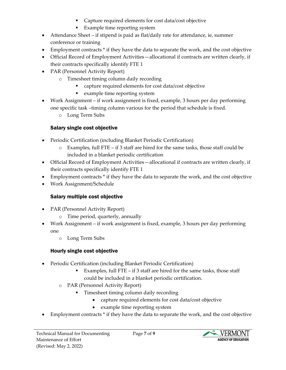- Capture required elements for cost data/cost objective
- Example time reporting system
- Attendance Sheet if stipend is paid as flat/daily rate for attendance, ie, summer conference or training
- Employment contracts \* if they have the data to separate the work, and the cost objective
- Official Record of Employment Activities—allocational if contracts are written clearly, if their contracts specifically identify FTE 1
- PAR (Personnel Activity Report)
	- o Timesheet timing column daily recording
		- capture required elements for cost data/cost objective
		- example time reporting system
- Work Assignment if work assignment is fixed, example, 3 hours per day performing one specific task –timing column various for the period that schedule is fixed.
	- o Long Term Subs

## Salary single cost objective

- <span id="page-6-0"></span>• Periodic Certification (including Blanket Periodic Certification)
	- o Examples, full FTE if 3 staff are hired for the same tasks, those staff could be included in a blanket periodic certification
- Official Record of Employment Activities—allocational if contracts are written clearly, if their contracts specifically identify FTE 1
- Employment contracts \* if they have the data to separate the work, and the cost objective
- <span id="page-6-1"></span>• Work Assignment/Schedule

## Salary multiple cost objective

- PAR (Personnel Activity Report)
	- o Time period, quarterly, annually
- Work Assignment if work assignment is fixed, example, 3 hours per day performing one
	- o Long Term Subs

## Hourly single cost objective

- <span id="page-6-2"></span>• Periodic Certification (including Blanket Periodic Certification)
	- Examples, full FTE if  $3$  staff are hired for the same tasks, those staff could be included in a blanket periodic certification.
	- o PAR (Personnel Activity Report)
		- Timesheet timing column daily recording
			- capture required elements for cost data/cost objective
			- example time reporting system
- Employment contracts \* if they have the data to separate the work, and the cost objective

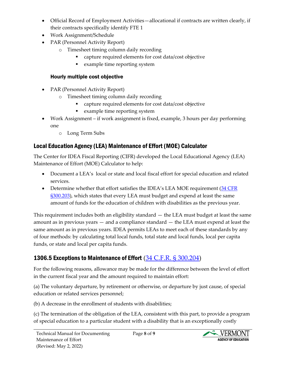- Official Record of Employment Activities—allocational if contracts are written clearly, if their contracts specifically identify FTE 1
- Work Assignment/Schedule
- PAR (Personnel Activity Report)
	- o Timesheet timing column daily recording
		- capture required elements for cost data/cost objective
		- example time reporting system

#### <span id="page-7-3"></span>Hourly multiple cost objective

- <span id="page-7-0"></span>• PAR (Personnel Activity Report)
	- o Timesheet timing column daily recording
		- capture required elements for cost data/cost objective
		- example time reporting system
- Work Assignment if work assignment is fixed, example, 3 hours per day performing one
	- o Long Term Subs

## <span id="page-7-1"></span>Local Education Agency (LEA) Maintenance of Effort (MOE) Calculator

The Center for IDEA Fiscal Reporting (CIFR) developed the Local Educational Agency (LEA) Maintenance of Effort (MOE) Calculator to help:

- Document a LEA's local or state and local fiscal effort for special education and related services.
- Determine whether that effort satisfies the IDEA's LEA MOE requirement  $(34 \text{ CFR})$ [§300.203\)](https://www.ecfr.gov/current/title-34/subtitle-B/chapter-III/part-300/subpart-C/section-300.203), which states that every LEA must budget and expend at least the same amount of funds for the education of children with disabilities as the previous year.

This requirement includes both an eligibility standard — the LEA must budget at least the same amount as in previous years — and a compliance standard — the LEA must expend at least the same amount as in previous years. IDEA permits LEAs to meet each of these standards by any of four methods: by calculating total local funds, total state and local funds, local per capita funds, or state and local per capita funds.

# <span id="page-7-2"></span>1306.5 Exceptions to Maintenance of Effort [\(34 C.F.R. § 300.204\)](https://www.ecfr.gov/current/title-34/subtitle-B/chapter-III/part-300/subpart-C/section-300.204)

For the following reasons, allowance may be made for the difference between the level of effort in the current fiscal year and the amount required to maintain effort:

(a) The voluntary departure, by retirement or otherwise, or departure by just cause, of special education or related services personnel;

(b) A decrease in the enrollment of students with disabilities;

(c) The termination of the obligation of the LEA, consistent with this part, to provide a program of special education to a particular student with a disability that is an exceptionally costly